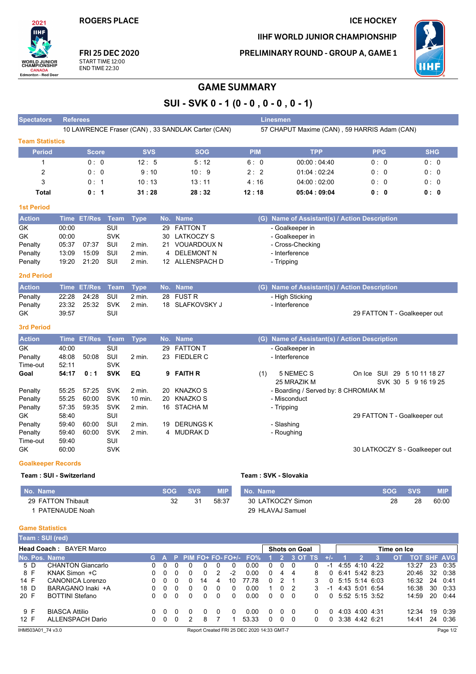**ROGERS PLACE** 

2021 **IIHF** 

**WORLD JUNIOR**<br>CHAMPIONSHIP

CANADA<br>Edmonton - Red Deer

Spectators Referees

#### **ICE HOCKEY**

IIHF WORLD JUNIOR CHAMPIONSHIP

PRELIMINARY ROUND - GROUP A, GAME 1

Linesmen



FRI 25 DEC 2020 START TIME 12:00 **END TIME 22:30** 

## **GAME SUMMARY**

SUI - SVK 0 - 1 (0 - 0, 0 - 0, 0 - 1)

|                                           |             |               |            |             |              | 10 LAWRENCE Fraser (CAN), 33 SANDLAK Carter (CAN) |            | 57 CHAPUT Maxime (CAN), 59 HARRIS Adam (CAN)        |             |                                |            |                |
|-------------------------------------------|-------------|---------------|------------|-------------|--------------|---------------------------------------------------|------------|-----------------------------------------------------|-------------|--------------------------------|------------|----------------|
| <b>Team Statistics</b>                    |             |               |            |             |              |                                                   |            |                                                     |             |                                |            |                |
| <b>Period</b>                             |             | <b>Score</b>  |            | <b>SVS</b>  |              | <b>SOG</b>                                        | <b>PIM</b> |                                                     | <b>TPP</b>  | <b>PPG</b>                     |            | <b>SHG</b>     |
| 1                                         |             | 0:0           |            | 12:5        |              | 5:12                                              | 6: 0       |                                                     | 00:00:04:40 | 0: 0                           |            | 0:0            |
| 2                                         |             | 0:0           |            | 9:10        |              | 10:9                                              | 2:2        |                                                     | 01:04:02:24 | 0: 0                           |            | 0:0            |
| 3                                         |             | 0:1           |            | 10:13       |              | 13:11                                             | 4:16       |                                                     | 04:00:02:00 | 0: 0                           |            | 0:0            |
| <b>Total</b>                              |             | 0:1           |            | 31:28       |              | 28:32                                             | 12:18      |                                                     | 05:04:09:04 | 0: 0                           |            | 0: 0           |
| <b>1st Period</b>                         |             |               |            |             |              |                                                   |            |                                                     |             |                                |            |                |
| <b>Action</b>                             | <b>Time</b> | <b>ET/Res</b> | Team       | <b>Type</b> |              | No. Name                                          |            | (G) Name of Assistant(s) / Action Description       |             |                                |            |                |
| GK                                        | 00:00       |               | <b>SUI</b> |             | 29           | <b>FATTON T</b>                                   |            | - Goalkeeper in                                     |             |                                |            |                |
| GK                                        | 00:00       |               | <b>SVK</b> |             | 30           | LATKOCZY S                                        |            | - Goalkeeper in                                     |             |                                |            |                |
| Penalty                                   | 05:37       | 07:37         | SUI        | 2 min.      | 21           | <b>VOUARDOUX N</b>                                |            | - Cross-Checking                                    |             |                                |            |                |
| Penalty                                   | 13:09       | 15:09         | SUI        | 2 min.      | 4            | <b>DELEMONT N</b>                                 |            | - Interference                                      |             |                                |            |                |
| Penalty                                   | 19:20       | 21:20         | SUI        | 2 min.      |              | 12 ALLENSPACH D                                   |            | - Tripping                                          |             |                                |            |                |
| 2nd Period                                |             |               |            |             |              |                                                   |            |                                                     |             |                                |            |                |
| <b>Action</b>                             |             | Time ET/Res   | Team       | <b>Type</b> |              | No. Name                                          |            | (G) Name of Assistant(s) / Action Description       |             |                                |            |                |
| Penalty                                   | 22:28       | 24:28         | SUI        | 2 min.      | 28           | <b>FUST R</b>                                     |            | - High Sticking                                     |             |                                |            |                |
| Penalty                                   | 23:32       | 25:32         | <b>SVK</b> | 2 min.      |              | 18 SLAFKOVSKY J                                   |            | - Interference                                      |             |                                |            |                |
| GK                                        | 39:57       |               | SUI        |             |              |                                                   |            |                                                     |             | 29 FATTON T - Goalkeeper out   |            |                |
| <b>3rd Period</b>                         |             |               |            |             |              |                                                   |            |                                                     |             |                                |            |                |
| <b>Action</b>                             | <b>Time</b> | <b>ET/Res</b> | Team       | <b>Type</b> |              | No. Name                                          |            | (G) Name of Assistant(s) / Action Description       |             |                                |            |                |
| GK                                        | 40:00       |               | SUI        |             | 29           | <b>FATTON T</b>                                   |            | - Goalkeeper in                                     |             |                                |            |                |
| Penalty                                   | 48:08       | 50:08         | SUI        | 2 min.      |              | 23 FIEDLER C                                      |            | - Interference                                      |             |                                |            |                |
| Time-out                                  | 52:11       |               | <b>SVK</b> |             |              |                                                   |            |                                                     |             |                                |            |                |
| Goal                                      | 54:17       | 0:1           | <b>SVK</b> | EQ          | 9            | <b>FAITH R</b>                                    | (1)        | 5 NEMEC S                                           |             | On Ice SUI 29 5 10 11 18 27    |            |                |
| Penalty                                   | 55:25       | 57:25         | <b>SVK</b> | 2 min.      | 20           | KNAZKO S                                          |            | 25 MRAZIK M<br>- Boarding / Served by: 8 CHROMIAK M |             | SVK 30 5 9 16 19 25            |            |                |
| Penalty                                   | 55:25       | 60:00         | <b>SVK</b> | 10 min.     | 20           | <b>KNAZKO S</b>                                   |            | - Misconduct                                        |             |                                |            |                |
| Penalty                                   | 57:35       | 59:35         | <b>SVK</b> | 2 min.      |              | 16 STACHA M                                       |            | - Tripping                                          |             |                                |            |                |
| GK                                        | 58:40       |               | SUI        |             |              |                                                   |            |                                                     |             | 29 FATTON T - Goalkeeper out   |            |                |
| Penalty                                   | 59:40       | 60:00         | SUI        | 2 min.      | 19           | <b>DERUNGS K</b>                                  |            | - Slashing                                          |             |                                |            |                |
| Penalty                                   | 59:40       | 60:00         | <b>SVK</b> | 2 min.      | 4            | MUDRAK D                                          |            | - Roughing                                          |             |                                |            |                |
| Time-out                                  | 59:40       |               | SUI        |             |              |                                                   |            |                                                     |             |                                |            |                |
| GK                                        | 60:00       |               | <b>SVK</b> |             |              |                                                   |            |                                                     |             | 30 LATKOCZY S - Goalkeeper out |            |                |
| <b>Goalkeeper Records</b>                 |             |               |            |             |              |                                                   |            |                                                     |             |                                |            |                |
| Team: SUI - Switzerland                   |             |               |            |             |              |                                                   |            | Team: SVK - Slovakia                                |             |                                |            |                |
| No. Name                                  |             |               |            |             | SOG          | <b>SVS</b><br><b>MIP</b>                          | No. Name   |                                                     |             | <b>SOG</b>                     | <b>SVS</b> | <b>MIP</b>     |
| 29 FATTON Thibault                        |             |               |            |             |              | 32<br>31<br>58:37                                 |            | 30 LATKOCZY Simon                                   |             | 28                             | 28         | 60:00          |
| 1 PATENAUDE Noah                          |             |               |            |             |              |                                                   |            | 29 HLAVAJ Samuel                                    |             |                                |            |                |
|                                           |             |               |            |             |              |                                                   |            |                                                     |             |                                |            |                |
| <b>Game Statistics</b><br>Team: SUI (red) |             |               |            |             |              |                                                   |            |                                                     |             |                                |            |                |
|                                           |             |               |            |             |              |                                                   |            |                                                     |             |                                |            |                |
| Head Coach: BAYER Marco<br>No. Pos. Name  |             |               |            | G.          | $\mathbf{A}$ | $PIM FO+FO-FO+/-$<br>Р.                           | FO%        | Shots on Goal<br>2 3 OT TS                          | $+/-$       | Time on Ice<br>3               |            | OT TOT SHF AVG |
|                                           |             |               |            |             |              |                                                   |            |                                                     |             |                                |            |                |

| <b>Head Coach: BAYER Marco</b> |                          |  |     |  |          |              |   |          |                                            |              |          | <b>Shots on Goal</b> |   |       | Time on Ice         |  |                |    |       |    |                    |
|--------------------------------|--------------------------|--|-----|--|----------|--------------|---|----------|--------------------------------------------|--------------|----------|----------------------|---|-------|---------------------|--|----------------|----|-------|----|--------------------|
| No. Pos. Name                  |                          |  |     |  |          |              |   |          | G A P PIM FO+ FO- FO+/- FO%                |              | -2.      | 3 OT TS              |   | $+/-$ |                     |  |                | OT |       |    | <b>TOT SHF AVG</b> |
| 5 D                            | <b>CHANTON Giancarlo</b> |  |     |  |          |              |   |          | 0.00                                       |              |          |                      |   | -1    |                     |  | 4:55 4:10 4:22 |    | 13:27 | 23 | 0:35               |
| 8 F                            | KNAK Simon +C            |  |     |  | 0        | $\Omega$     |   | $-2$     | 0.00                                       | <sup>n</sup> | 4        | 4                    | 8 |       | $0$ 6.41 5.42 8.23  |  |                |    | 20:46 | 32 | 0:38               |
| 14 F                           | <b>CANONICA Lorenzo</b>  |  |     |  | 0        | 14           | 4 | 10       | 77 78                                      |              |          |                      |   |       | 0, 5.15, 5.14, 6.03 |  |                |    | 16:32 | 24 | 0.41               |
| 18 D                           | BARAGANO Inaki +A        |  |     |  | 0        | $\mathbf{0}$ |   | 0        | 0.00                                       |              | $\Omega$ | $\mathcal{L}$        | 3 | -1    | 4 4 3 5 0 1 6 5 4   |  |                |    | 16:38 | 30 | 0:33               |
| 20 F                           | <b>BOTTINI Stefano</b>   |  |     |  | $\Omega$ | $\Omega$     | 0 | 0        | 0.00                                       | 0            | $\Omega$ | - 0                  |   |       | 0, 5:52, 5:15, 3:52 |  |                |    | 14:59 | 20 | 0:44               |
| 9 F                            | <b>BIASCA Attilio</b>    |  | - 0 |  |          | $\Omega$     |   | $\Omega$ | 0.00                                       | $\Omega$     | $\Omega$ | - 0                  |   |       | 4 03 4:00 4:31      |  |                |    | 12:34 | 19 | 0:39               |
| 12 F                           | ALLENSPACH Dario         |  |     |  |          | 8            |   |          | 53.33                                      | $\Omega$     | $\Omega$ | - 0                  |   |       | $0$ 3:38 4:42 6:21  |  |                |    | 14.41 | 24 | 0:36               |
| IHM503A01 74 v3.0              |                          |  |     |  |          |              |   |          | Report Created FRI 25 DEC 2020 14:33 GMT-7 |              |          |                      |   |       |                     |  |                |    |       |    | Page 1/2           |